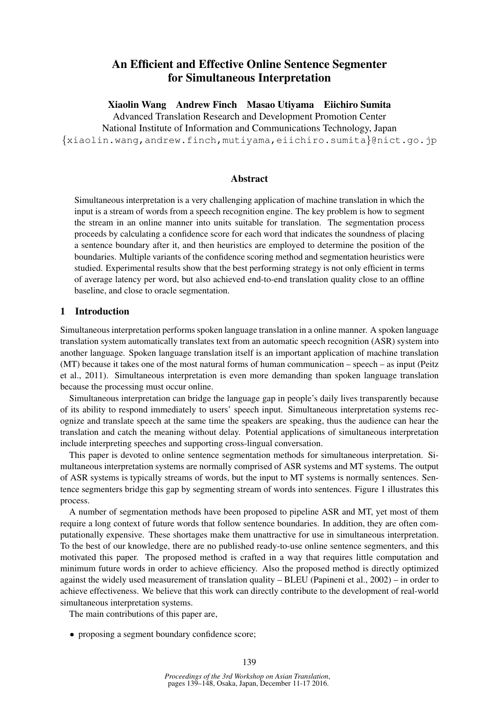# An Efficient and Effective Online Sentence Segmenter for Simultaneous Interpretation

Xiaolin Wang Andrew Finch Masao Utiyama Eiichiro Sumita

Advanced Translation Research and Development Promotion Center National Institute of Information and Communications Technology, Japan {xiaolin.wang,andrew.finch,mutiyama,eiichiro.sumita}@nict.go.jp

## Abstract

Simultaneous interpretation is a very challenging application of machine translation in which the input is a stream of words from a speech recognition engine. The key problem is how to segment the stream in an online manner into units suitable for translation. The segmentation process proceeds by calculating a confidence score for each word that indicates the soundness of placing a sentence boundary after it, and then heuristics are employed to determine the position of the boundaries. Multiple variants of the confidence scoring method and segmentation heuristics were studied. Experimental results show that the best performing strategy is not only efficient in terms of average latency per word, but also achieved end-to-end translation quality close to an offline baseline, and close to oracle segmentation.

# 1 Introduction

Simultaneous interpretation performs spoken language translation in a online manner. A spoken language translation system automatically translates text from an automatic speech recognition (ASR) system into another language. Spoken language translation itself is an important application of machine translation (MT) because it takes one of the most natural forms of human communication – speech – as input (Peitz et al., 2011). Simultaneous interpretation is even more demanding than spoken language translation because the processing must occur online.

Simultaneous interpretation can bridge the language gap in people's daily lives transparently because of its ability to respond immediately to users' speech input. Simultaneous interpretation systems recognize and translate speech at the same time the speakers are speaking, thus the audience can hear the translation and catch the meaning without delay. Potential applications of simultaneous interpretation include interpreting speeches and supporting cross-lingual conversation.

This paper is devoted to online sentence segmentation methods for simultaneous interpretation. Simultaneous interpretation systems are normally comprised of ASR systems and MT systems. The output of ASR systems is typically streams of words, but the input to MT systems is normally sentences. Sentence segmenters bridge this gap by segmenting stream of words into sentences. Figure 1 illustrates this process.

A number of segmentation methods have been proposed to pipeline ASR and MT, yet most of them require a long context of future words that follow sentence boundaries. In addition, they are often computationally expensive. These shortages make them unattractive for use in simultaneous interpretation. To the best of our knowledge, there are no published ready-to-use online sentence segmenters, and this motivated this paper. The proposed method is crafted in a way that requires little computation and minimum future words in order to achieve efficiency. Also the proposed method is directly optimized against the widely used measurement of translation quality – BLEU (Papineni et al., 2002) – in order to achieve effectiveness. We believe that this work can directly contribute to the development of real-world simultaneous interpretation systems.

The main contributions of this paper are,

• proposing a segment boundary confidence score;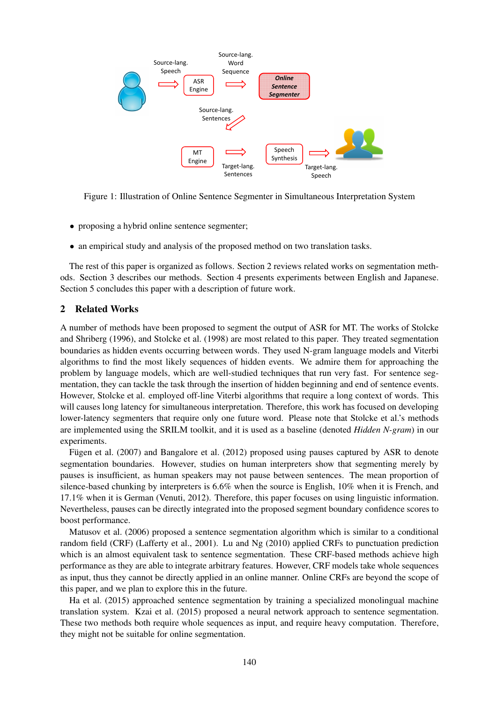

Figure 1: Illustration of Online Sentence Segmenter in Simultaneous Interpretation System

- proposing a hybrid online sentence segmenter;
- an empirical study and analysis of the proposed method on two translation tasks.

The rest of this paper is organized as follows. Section 2 reviews related works on segmentation methods. Section 3 describes our methods. Section 4 presents experiments between English and Japanese. Section 5 concludes this paper with a description of future work.

### 2 Related Works

A number of methods have been proposed to segment the output of ASR for MT. The works of Stolcke and Shriberg (1996), and Stolcke et al. (1998) are most related to this paper. They treated segmentation boundaries as hidden events occurring between words. They used N-gram language models and Viterbi algorithms to find the most likely sequences of hidden events. We admire them for approaching the problem by language models, which are well-studied techniques that run very fast. For sentence segmentation, they can tackle the task through the insertion of hidden beginning and end of sentence events. However, Stolcke et al. employed off-line Viterbi algorithms that require a long context of words. This will causes long latency for simultaneous interpretation. Therefore, this work has focused on developing lower-latency segmenters that require only one future word. Please note that Stolcke et al.'s methods are implemented using the SRILM toolkit, and it is used as a baseline (denoted *Hidden N-gram*) in our experiments.

Fugen et al. (2007) and Bangalore et al. (2012) proposed using pauses captured by ASR to denote segmentation boundaries. However, studies on human interpreters show that segmenting merely by pauses is insufficient, as human speakers may not pause between sentences. The mean proportion of silence-based chunking by interpreters is 6.6% when the source is English, 10% when it is French, and 17.1% when it is German (Venuti, 2012). Therefore, this paper focuses on using linguistic information. Nevertheless, pauses can be directly integrated into the proposed segment boundary confidence scores to boost performance.

Matusov et al. (2006) proposed a sentence segmentation algorithm which is similar to a conditional random field (CRF) (Lafferty et al., 2001). Lu and Ng (2010) applied CRFs to punctuation prediction which is an almost equivalent task to sentence segmentation. These CRF-based methods achieve high performance as they are able to integrate arbitrary features. However, CRF models take whole sequences as input, thus they cannot be directly applied in an online manner. Online CRFs are beyond the scope of this paper, and we plan to explore this in the future.

Ha et al. (2015) approached sentence segmentation by training a specialized monolingual machine translation system. Kzai et al. (2015) proposed a neural network approach to sentence segmentation. These two methods both require whole sequences as input, and require heavy computation. Therefore, they might not be suitable for online segmentation.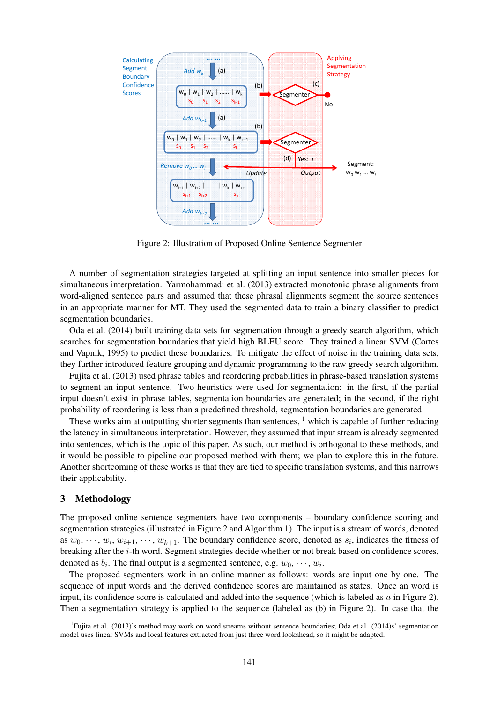

Figure 2: Illustration of Proposed Online Sentence Segmenter

A number of segmentation strategies targeted at splitting an input sentence into smaller pieces for simultaneous interpretation. Yarmohammadi et al. (2013) extracted monotonic phrase alignments from word-aligned sentence pairs and assumed that these phrasal alignments segment the source sentences in an appropriate manner for MT. They used the segmented data to train a binary classifier to predict segmentation boundaries.

Oda et al. (2014) built training data sets for segmentation through a greedy search algorithm, which searches for segmentation boundaries that yield high BLEU score. They trained a linear SVM (Cortes and Vapnik, 1995) to predict these boundaries. To mitigate the effect of noise in the training data sets, they further introduced feature grouping and dynamic programming to the raw greedy search algorithm.

Fujita et al. (2013) used phrase tables and reordering probabilities in phrase-based translation systems to segment an input sentence. Two heuristics were used for segmentation: in the first, if the partial input doesn't exist in phrase tables, segmentation boundaries are generated; in the second, if the right probability of reordering is less than a predefined threshold, segmentation boundaries are generated.

These works aim at outputting shorter segments than sentences,  $\frac{1}{1}$  which is capable of further reducing the latency in simultaneous interpretation. However, they assumed that input stream is already segmented into sentences, which is the topic of this paper. As such, our method is orthogonal to these methods, and it would be possible to pipeline our proposed method with them; we plan to explore this in the future. Another shortcoming of these works is that they are tied to specific translation systems, and this narrows their applicability.

### 3 Methodology

The proposed online sentence segmenters have two components – boundary confidence scoring and segmentation strategies (illustrated in Figure 2 and Algorithm 1). The input is a stream of words, denoted as  $w_0, \dots, w_i, w_{i+1}, \dots, w_{k+1}$ . The boundary confidence score, denoted as  $s_i$ , indicates the fitness of breaking after the *i*-th word. Segment strategies decide whether or not break based on confidence scores, denoted as  $b_i$ . The final output is a segmented sentence, e.g.  $w_0, \dots, w_i$ .

The proposed segmenters work in an online manner as follows: words are input one by one. The sequence of input words and the derived confidence scores are maintained as states. Once an word is input, its confidence score is calculated and added into the sequence (which is labeled as  $a$  in Figure 2). Then a segmentation strategy is applied to the sequence (labeled as (b) in Figure 2). In case that the

<sup>&</sup>lt;sup>1</sup>Fujita et al. (2013)'s method may work on word streams without sentence boundaries; Oda et al. (2014)s' segmentation model uses linear SVMs and local features extracted from just three word lookahead, so it might be adapted.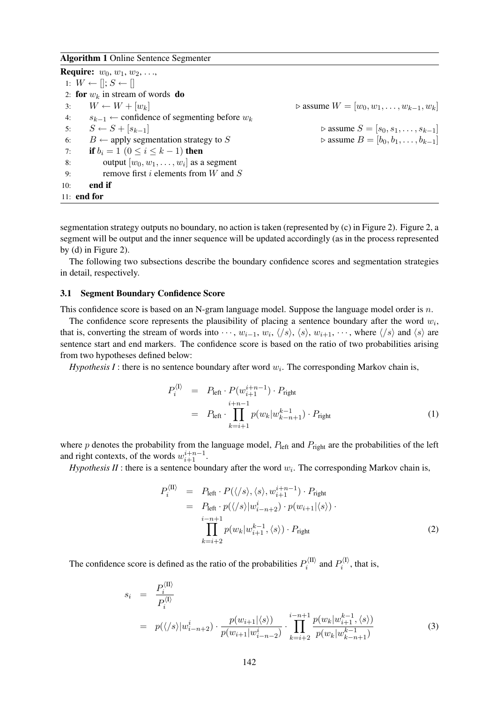#### Algorithm 1 Online Sentence Segmenter

**Require:**  $w_0, w_1, w_2, \ldots$ 1:  $W \leftarrow []$ ;  $S \leftarrow []$ 2: for  $w_k$  in stream of words do 3:  $W \leftarrow W + [w_k]$ <br>4:  $s_{k-1} \leftarrow$  confidence of segmenting before  $w_k$ <br>4:  $s_{k-1} \leftarrow$  confidence of segmenting before  $w_k$ 4:  $s_{k-1}$  ← confidence of segmenting before  $w_k$ <br>5:  $S \leftarrow S + [s_{k-1}]$ 5:  $S \leftarrow S + [s_{k-1}]$ <br>
6:  $B \leftarrow$  apply segmentation strategy to S<br>  $\triangleright$  assume  $S = [s_0, s_1, \dots, s_{k-1}]$ <br>  $\triangleright$  assume  $B = [b_0, b_1, \dots, b_{k-1}]$ 6:  $B \leftarrow$  apply segmentation strategy to S<br>7: **if**  $b_i = 1$  (0 <  $i < k-1$ ) **then if**  $b_i = 1$  ( $0 \le i \le k - 1$ ) then 8: output  $[w_0, w_1, \ldots, w_i]$  as a segment 9: remove first i elements from  $W$  and  $S$ 10: end if 11: end for

segmentation strategy outputs no boundary, no action is taken (represented by (c) in Figure 2). Figure 2, a segment will be output and the inner sequence will be updated accordingly (as in the process represented by (d) in Figure 2).

The following two subsections describe the boundary confidence scores and segmentation strategies in detail, respectively.

#### 3.1 Segment Boundary Confidence Score

This confidence score is based on an N-gram language model. Suppose the language model order is  $n$ .

The confidence score represents the plausibility of placing a sentence boundary after the word  $w_i$ , that is, converting the stream of words into  $\cdots$ ,  $w_{i-1}$ ,  $w_i$ ,  $\langle s \rangle$ ,  $\langle s \rangle$ ,  $w_{i+1}$ ,  $\cdots$ , where  $\langle s \rangle$  and  $\langle s \rangle$  are sentence start and end markers. The confidence score is based on the ratio of two probabilities arising from two hypotheses defined below:

*Hypothesis I*: there is no sentence boundary after word  $w_i$ . The corresponding Markov chain is,

$$
P_i^{\langle I \rangle} = P_{\text{left}} \cdot P(w_{i+1}^{i+n-1}) \cdot P_{\text{right}}
$$
  
=  $P_{\text{left}} \cdot \prod_{k=i+1}^{i+n-1} p(w_k | w_{k-n+1}^{k-1}) \cdot P_{\text{right}}$  (1)

where p denotes the probability from the language model,  $P_{\text{left}}$  and  $P_{\text{right}}$  are the probabilities of the left and right contexts, of the words  $w_{i+1}^{i+n-1}$ .

*Hypothesis II*: there is a sentence boundary after the word  $w_i$ . The corresponding Markov chain is,

$$
P_i^{\langle \text{II} \rangle} = P_{\text{left}} \cdot P(\langle/s \rangle, \langle s \rangle, w_{i+1}^{i+n-1}) \cdot P_{\text{right}}
$$
  
\n
$$
= P_{\text{left}} \cdot p(\langle/s \rangle | w_{i-n+2}^i) \cdot p(w_{i+1} | \langle s \rangle) \cdot
$$
  
\n
$$
\prod_{k=i+2}^{i-n+1} p(w_k | w_{i+1}^{k-1}, \langle s \rangle) \cdot P_{\text{right}}
$$
 (2)

The confidence score is defined as the ratio of the probabilities  $P_i^{\langle \text{II} \rangle}$  and  $P_i^{\langle \text{I} \rangle}$ , that is,

$$
s_i = \frac{P_i^{\langle \text{II} \rangle}}{P_i^{\langle \text{I} \rangle}}
$$
  
=  $p(\langle/s \rangle | w_{i-n+2}^i) \cdot \frac{p(w_{i+1}|\langle s \rangle)}{p(w_{i+1}|w_{i-n-2}^i)} \cdot \prod_{k=i+2}^{i-n+1} \frac{p(w_k | w_{i+1}^{k-1}, \langle s \rangle)}{p(w_k | w_{k-n+1}^{k-1})}$  (3)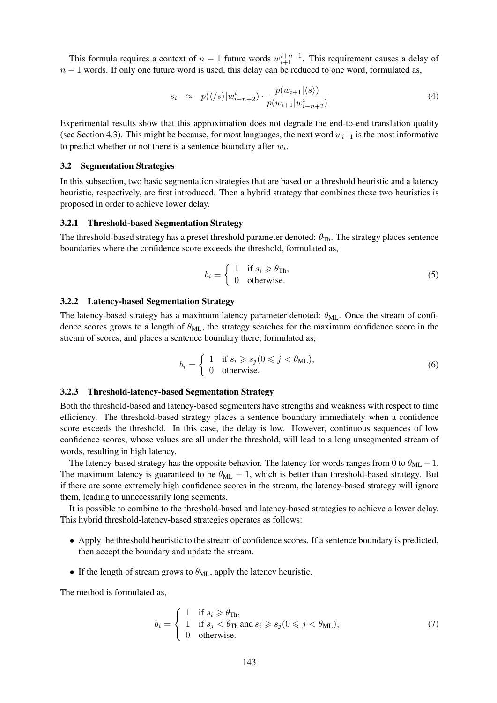This formula requires a context of  $n-1$  future words  $w_{i+1}^{i+n-1}$ . This requirement causes a delay of  $n-1$  words. If only one future word is used, this delay can be reduced to one word, formulated as,

$$
s_i \approx p(\langle/s \rangle | w_{i-n+2}^i) \cdot \frac{p(w_{i+1}|\langle s \rangle)}{p(w_{i+1}|w_{i-n+2}^i)} \tag{4}
$$

Experimental results show that this approximation does not degrade the end-to-end translation quality (see Section 4.3). This might be because, for most languages, the next word  $w_{i+1}$  is the most informative to predict whether or not there is a sentence boundary after  $w_i$ .

#### 3.2 Segmentation Strategies

In this subsection, two basic segmentation strategies that are based on a threshold heuristic and a latency heuristic, respectively, are first introduced. Then a hybrid strategy that combines these two heuristics is proposed in order to achieve lower delay.

### 3.2.1 Threshold-based Segmentation Strategy

The threshold-based strategy has a preset threshold parameter denoted:  $\theta_{\text{Th}}$ . The strategy places sentence boundaries where the confidence score exceeds the threshold, formulated as,

$$
b_i = \begin{cases} 1 & \text{if } s_i \geqslant \theta_{\text{Th}}, \\ 0 & \text{otherwise.} \end{cases}
$$
 (5)

#### 3.2.2 Latency-based Segmentation Strategy

The latency-based strategy has a maximum latency parameter denoted:  $\theta_{ML}$ . Once the stream of confidence scores grows to a length of  $\theta_{ML}$ , the strategy searches for the maximum confidence score in the stream of scores, and places a sentence boundary there, formulated as,

$$
b_i = \begin{cases} 1 & \text{if } s_i \ge s_j (0 \le j < \theta_{\text{ML}}), \\ 0 & \text{otherwise.} \end{cases} \tag{6}
$$

### 3.2.3 Threshold-latency-based Segmentation Strategy

Both the threshold-based and latency-based segmenters have strengths and weakness with respect to time efficiency. The threshold-based strategy places a sentence boundary immediately when a confidence score exceeds the threshold. In this case, the delay is low. However, continuous sequences of low confidence scores, whose values are all under the threshold, will lead to a long unsegmented stream of words, resulting in high latency.

The latency-based strategy has the opposite behavior. The latency for words ranges from 0 to  $\theta_{ML} - 1$ . The maximum latency is guaranteed to be  $\theta_{ML} - 1$ , which is better than threshold-based strategy. But if there are some extremely high confidence scores in the stream, the latency-based strategy will ignore them, leading to unnecessarily long segments.

It is possible to combine to the threshold-based and latency-based strategies to achieve a lower delay. This hybrid threshold-latency-based strategies operates as follows:

- Apply the threshold heuristic to the stream of confidence scores. If a sentence boundary is predicted, then accept the boundary and update the stream.
- If the length of stream grows to  $\theta_{ML}$ , apply the latency heuristic.

The method is formulated as,

$$
b_i = \begin{cases} 1 & \text{if } s_i \geqslant \theta_{\text{Th}}, \\ 1 & \text{if } s_j < \theta_{\text{Th}} \text{ and } s_i \geqslant s_j (0 \leqslant j < \theta_{\text{ML}}), \\ 0 & \text{otherwise.} \end{cases} \tag{7}
$$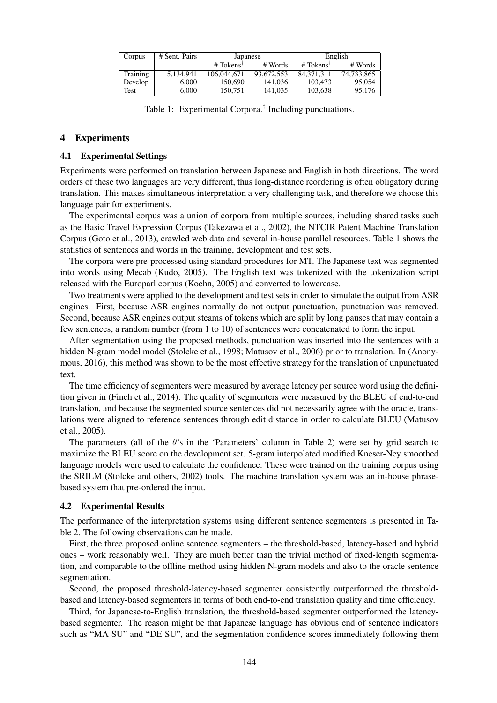| Corpus   | # Sent. Pairs | Japanese                                    |            | English               |            |  |
|----------|---------------|---------------------------------------------|------------|-----------------------|------------|--|
|          |               | # Tokens <sup><math>\mathsf{T}</math></sup> | # Words    | # Tokens <sup>1</sup> | # Words    |  |
| Training | 5.134.941     | 106.044.671                                 | 93.672.553 | 84.371.311            | 74,733,865 |  |
| Develop  | 6.000         | 150,690                                     | 141,036    | 103.473               | 95,054     |  |
| Test     | 6.000         | 150.751                                     | 141,035    | 103.638               | 95,176     |  |

Table 1: Experimental Corpora.† Including punctuations.

### 4 Experiments

#### 4.1 Experimental Settings

Experiments were performed on translation between Japanese and English in both directions. The word orders of these two languages are very different, thus long-distance reordering is often obligatory during translation. This makes simultaneous interpretation a very challenging task, and therefore we choose this language pair for experiments.

The experimental corpus was a union of corpora from multiple sources, including shared tasks such as the Basic Travel Expression Corpus (Takezawa et al., 2002), the NTCIR Patent Machine Translation Corpus (Goto et al., 2013), crawled web data and several in-house parallel resources. Table 1 shows the statistics of sentences and words in the training, development and test sets.

The corpora were pre-processed using standard procedures for MT. The Japanese text was segmented into words using Mecab (Kudo, 2005). The English text was tokenized with the tokenization script released with the Europarl corpus (Koehn, 2005) and converted to lowercase.

Two treatments were applied to the development and test sets in order to simulate the output from ASR engines. First, because ASR engines normally do not output punctuation, punctuation was removed. Second, because ASR engines output steams of tokens which are split by long pauses that may contain a few sentences, a random number (from 1 to 10) of sentences were concatenated to form the input.

After segmentation using the proposed methods, punctuation was inserted into the sentences with a hidden N-gram model model (Stolcke et al., 1998; Matusov et al., 2006) prior to translation. In (Anonymous, 2016), this method was shown to be the most effective strategy for the translation of unpunctuated text.

The time efficiency of segmenters were measured by average latency per source word using the definition given in (Finch et al., 2014). The quality of segmenters were measured by the BLEU of end-to-end translation, and because the segmented source sentences did not necessarily agree with the oracle, translations were aligned to reference sentences through edit distance in order to calculate BLEU (Matusov et al., 2005).

The parameters (all of the  $\theta$ 's in the 'Parameters' column in Table 2) were set by grid search to maximize the BLEU score on the development set. 5-gram interpolated modified Kneser-Ney smoothed language models were used to calculate the confidence. These were trained on the training corpus using the SRILM (Stolcke and others, 2002) tools. The machine translation system was an in-house phrasebased system that pre-ordered the input.

#### 4.2 Experimental Results

The performance of the interpretation systems using different sentence segmenters is presented in Table 2. The following observations can be made.

First, the three proposed online sentence segmenters – the threshold-based, latency-based and hybrid ones – work reasonably well. They are much better than the trivial method of fixed-length segmentation, and comparable to the offline method using hidden N-gram models and also to the oracle sentence segmentation.

Second, the proposed threshold-latency-based segmenter consistently outperformed the thresholdbased and latency-based segmenters in terms of both end-to-end translation quality and time efficiency.

Third, for Japanese-to-English translation, the threshold-based segmenter outperformed the latencybased segmenter. The reason might be that Japanese language has obvious end of sentence indicators such as "MA SU" and "DE SU", and the segmentation confidence scores immediately following them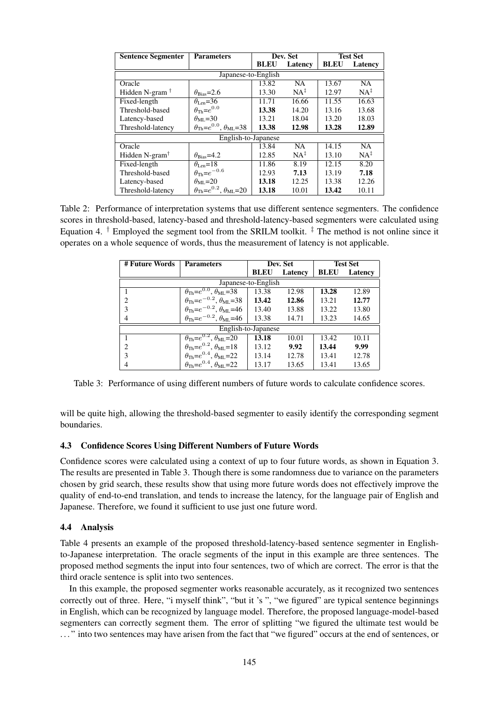| <b>Sentence Segmenter</b>  | <b>Parameters</b>                                          | Dev. Set    |                 | <b>Test Set</b> |                 |
|----------------------------|------------------------------------------------------------|-------------|-----------------|-----------------|-----------------|
|                            |                                                            | <b>BLEU</b> | Latency         | <b>BLEU</b>     | Latency         |
| Japanese-to-English        |                                                            |             |                 |                 |                 |
| Oracle                     |                                                            | 13.82       | <b>NA</b>       | 13.67           | <b>NA</b>       |
| Hidden N-gram $†$          | $\theta_{\rm Bias}=2.6$                                    | 13.30       | $NA^{\ddagger}$ | 12.97           | $NA^{\ddagger}$ |
| Fixed-length               | $\theta_{\text{Len}} = 36$                                 | 11.71       | 16.66           | 11.55           | 16.63           |
| Threshold-based            | $\theta_{\text{Th}}=e^{0.0}$                               | 13.38       | 14.20           | 13.16           | 13.68           |
| Latency-based              | $\theta_{\rm ML}$ = 30                                     | 13.21       | 18.04           | 13.20           | 18.03           |
| Threshold-latency          | $\theta_{\text{Th}} = e^{0.0}, \theta_{\text{ML}} = 38$    | 13.38       | 12.98           | 13.28           | 12.89           |
| English-to-Japanese        |                                                            |             |                 |                 |                 |
| Oracle                     |                                                            | 13.84       | <b>NA</b>       | 14.15           | $\overline{NA}$ |
| Hidden N-gram <sup>†</sup> | $\theta_{\text{Bias}}=4.2$                                 | 12.85       | $NA^{\ddagger}$ | 13.10           | $NA^{\ddagger}$ |
| Fixed-length               | $\theta_{\text{Len}}=18$                                   | 11.86       | 8.19            | 12.15           | 8.20            |
| Threshold-based            | $\theta_{\text{Th}} = e^{-0.6}$                            | 12.93       | 7.13            | 13.19           | 7.18            |
| Latency-based              | $\theta_{\rm ML}$ = 20                                     | 13.18       | 12.25           | 13.38           | 12.26           |
| Threshold-latency          | $\theta_{\text{Th}} = e^{0.2}$ , $\theta_{\text{ML}} = 20$ | 13.18       | 10.01           | 13.42           | 10.11           |

Table 2: Performance of interpretation systems that use different sentence segmenters. The confidence scores in threshold-based, latency-based and threshold-latency-based segmenters were calculated using Equation 4. <sup>†</sup> Employed the segment tool from the SRILM toolkit.  $\frac{1}{\tau}$  The method is not online since it operates on a whole sequence of words, thus the measurement of latency is not applicable.

| # Future Words      | <b>Parameters</b>                                           | Dev. Set    |         | <b>Test Set</b> |         |
|---------------------|-------------------------------------------------------------|-------------|---------|-----------------|---------|
|                     |                                                             | <b>BLEU</b> | Latency | <b>BLEU</b>     | Latency |
| Japanese-to-English |                                                             |             |         |                 |         |
|                     | $\theta_{\text{Th}} = e^{0.0}$ , $\theta_{\text{ML}} = 38$  | 13.38       | 12.98   | 13.28           | 12.89   |
| $\overline{c}$      | $\theta_{\text{Th}} = e^{-0.2}, \theta_{\text{ML}} = 38$    | 13.42       | 12.86   | 13.21           | 12.77   |
| 3                   | $\theta_{\text{Th}} = e^{-0.2}$ , $\theta_{\text{ML}} = 46$ | 13.40       | 13.88   | 13.22           | 13.80   |
| 4                   | $\theta_{\text{Th}} = e^{-0.2}, \theta_{\text{ML}} = 46$    | 13.38       | 14.71   | 13.23           | 14.65   |
| English-to-Japanese |                                                             |             |         |                 |         |
|                     | $\theta_{\text{Th}} = e^{0.2}, \theta_{\text{ML}} = 20$     | 13.18       | 10.01   | 13.42           | 10.11   |
| $\mathfrak{D}$      | $\theta_{\text{Th}} = e^{0.2}, \theta_{\text{ML}} = 18$     | 13.12       | 9.92    | 13.44           | 9.99    |
| 3                   | $\theta_{\text{Th}} = e^{0.4}, \theta_{\text{ML}} = 22$     | 13.14       | 12.78   | 13.41           | 12.78   |
| 4                   | $\theta_{\text{Th}} = e^{0.4}$ , $\theta_{\text{ML}} = 22$  | 13.17       | 13.65   | 13.41           | 13.65   |

Table 3: Performance of using different numbers of future words to calculate confidence scores.

will be quite high, allowing the threshold-based segmenter to easily identify the corresponding segment boundaries.

# 4.3 Confidence Scores Using Different Numbers of Future Words

Confidence scores were calculated using a context of up to four future words, as shown in Equation 3. The results are presented in Table 3. Though there is some randomness due to variance on the parameters chosen by grid search, these results show that using more future words does not effectively improve the quality of end-to-end translation, and tends to increase the latency, for the language pair of English and Japanese. Therefore, we found it sufficient to use just one future word.

# 4.4 Analysis

Table 4 presents an example of the proposed threshold-latency-based sentence segmenter in Englishto-Japanese interpretation. The oracle segments of the input in this example are three sentences. The proposed method segments the input into four sentences, two of which are correct. The error is that the third oracle sentence is split into two sentences.

In this example, the proposed segmenter works reasonable accurately, as it recognized two sentences correctly out of three. Here, "i myself think", "but it 's ", "we figured" are typical sentence beginnings in English, which can be recognized by language model. Therefore, the proposed language-model-based segmenters can correctly segment them. The error of splitting "we figured the ultimate test would be . . . " into two sentences may have arisen from the fact that "we figured" occurs at the end of sentences, or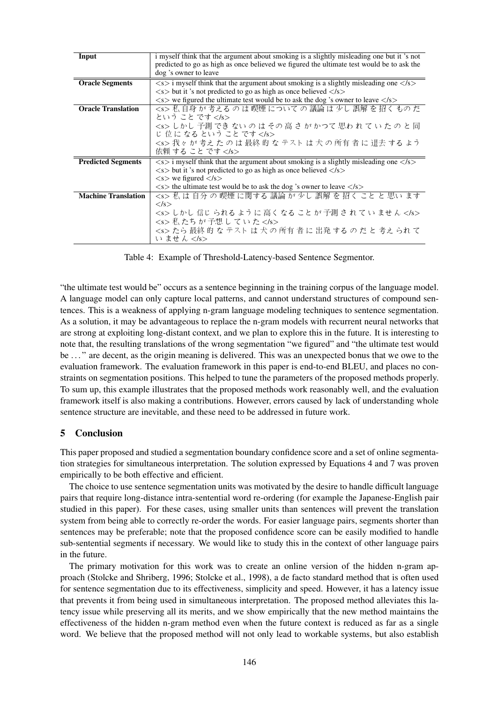| i myself think that the argument about smoking is a slightly misleading one but it 's not                           |  |  |
|---------------------------------------------------------------------------------------------------------------------|--|--|
| predicted to go as high as once believed we figured the ultimate test would be to ask the                           |  |  |
| dog 's owner to leave                                                                                               |  |  |
| $\langle s \rangle$ i myself think that the argument about smoking is a slightly misleading one $\langle s \rangle$ |  |  |
| $\langle$ s but it 's not predicted to go as high as once believed $\langle$ /s $\rangle$                           |  |  |
| $\langle s \rangle$ we figured the ultimate test would be to ask the dog 's owner to leave $\langle s \rangle$      |  |  |
| <s> 私 自身 が 考える の は 喫煙 について の 議論 は 少し 誤解 を 招く もの だ</s>                                                               |  |  |
| という こと です                                                                                                           |  |  |
| <s> しかし 予測 でき ない の は その 高 さ が かつて 思わ れ て い た の と 同</s>                                                              |  |  |
| じ位になるということです                                                                                                        |  |  |
| <s>我々が考えたのは最終的なテストは犬の所有者に退去するよう</s>                                                                                 |  |  |
| 依頼 する こと です                                                                                                         |  |  |
| $\langle s \rangle$ i myself think that the argument about smoking is a slightly misleading one $\langle s \rangle$ |  |  |
| $\langle$ s but it 's not predicted to go as high as once believed $\langle$ /s $\rangle$                           |  |  |
| $\langle$ s $>$ we figured $\langle$ /s $>$                                                                         |  |  |
| $\langle s \rangle$ the ultimate test would be to ask the dog 's owner to leave $\langle s \rangle$                 |  |  |
| <s> 私 は 自分 の 喫煙 に関する 議論 が 少し 誤解 を 招く こと と 思い ます</s>                                                                 |  |  |
| $\langle$ /s $>$                                                                                                    |  |  |
| <s> しかし 信じ られる ように 高く なる こと が 予測 さ れ て い ませ ん </s>                                                                  |  |  |
| <s> 私たちが 予想していた </s>                                                                                                |  |  |
| <s> たら 最終 的 な テスト は 犬 の 所有 者 に 出発 する の だ と 考え られ て</s>                                                              |  |  |
| い ません                                                                                                               |  |  |
|                                                                                                                     |  |  |

Table 4: Example of Threshold-Latency-based Sentence Segmentor.

"the ultimate test would be" occurs as a sentence beginning in the training corpus of the language model. A language model can only capture local patterns, and cannot understand structures of compound sentences. This is a weakness of applying n-gram language modeling techniques to sentence segmentation. As a solution, it may be advantageous to replace the n-gram models with recurrent neural networks that are strong at exploiting long-distant context, and we plan to explore this in the future. It is interesting to note that, the resulting translations of the wrong segmentation "we figured" and "the ultimate test would be ..." are decent, as the origin meaning is delivered. This was an unexpected bonus that we owe to the evaluation framework. The evaluation framework in this paper is end-to-end BLEU, and places no constraints on segmentation positions. This helped to tune the parameters of the proposed methods properly. To sum up, this example illustrates that the proposed methods work reasonably well, and the evaluation framework itself is also making a contributions. However, errors caused by lack of understanding whole sentence structure are inevitable, and these need to be addressed in future work.

# 5 Conclusion

This paper proposed and studied a segmentation boundary confidence score and a set of online segmentation strategies for simultaneous interpretation. The solution expressed by Equations 4 and 7 was proven empirically to be both effective and efficient.

The choice to use sentence segmentation units was motivated by the desire to handle difficult language pairs that require long-distance intra-sentential word re-ordering (for example the Japanese-English pair studied in this paper). For these cases, using smaller units than sentences will prevent the translation system from being able to correctly re-order the words. For easier language pairs, segments shorter than sentences may be preferable; note that the proposed confidence score can be easily modified to handle sub-sentential segments if necessary. We would like to study this in the context of other language pairs in the future.

The primary motivation for this work was to create an online version of the hidden n-gram approach (Stolcke and Shriberg, 1996; Stolcke et al., 1998), a de facto standard method that is often used for sentence segmentation due to its effectiveness, simplicity and speed. However, it has a latency issue that prevents it from being used in simultaneous interpretation. The proposed method alleviates this latency issue while preserving all its merits, and we show empirically that the new method maintains the effectiveness of the hidden n-gram method even when the future context is reduced as far as a single word. We believe that the proposed method will not only lead to workable systems, but also establish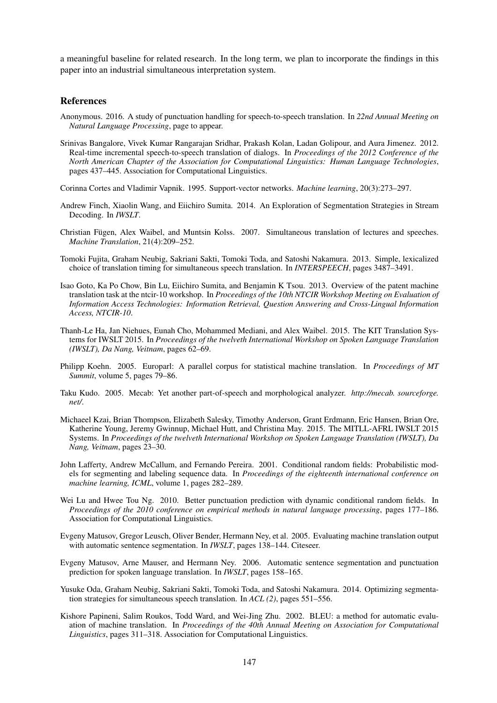a meaningful baseline for related research. In the long term, we plan to incorporate the findings in this paper into an industrial simultaneous interpretation system.

#### **References**

- Anonymous. 2016. A study of punctuation handling for speech-to-speech translation. In *22nd Annual Meeting on Natural Language Processing*, page to appear.
- Srinivas Bangalore, Vivek Kumar Rangarajan Sridhar, Prakash Kolan, Ladan Golipour, and Aura Jimenez. 2012. Real-time incremental speech-to-speech translation of dialogs. In *Proceedings of the 2012 Conference of the North American Chapter of the Association for Computational Linguistics: Human Language Technologies*, pages 437–445. Association for Computational Linguistics.
- Corinna Cortes and Vladimir Vapnik. 1995. Support-vector networks. *Machine learning*, 20(3):273–297.
- Andrew Finch, Xiaolin Wang, and Eiichiro Sumita. 2014. An Exploration of Segmentation Strategies in Stream Decoding. In *IWSLT*.
- Christian Fügen, Alex Waibel, and Muntsin Kolss. 2007. Simultaneous translation of lectures and speeches. *Machine Translation*, 21(4):209–252.
- Tomoki Fujita, Graham Neubig, Sakriani Sakti, Tomoki Toda, and Satoshi Nakamura. 2013. Simple, lexicalized choice of translation timing for simultaneous speech translation. In *INTERSPEECH*, pages 3487–3491.
- Isao Goto, Ka Po Chow, Bin Lu, Eiichiro Sumita, and Benjamin K Tsou. 2013. Overview of the patent machine translation task at the ntcir-10 workshop. In *Proceedings of the 10th NTCIR Workshop Meeting on Evaluation of Information Access Technologies: Information Retrieval, Question Answering and Cross-Lingual Information Access, NTCIR-10*.
- Thanh-Le Ha, Jan Niehues, Eunah Cho, Mohammed Mediani, and Alex Waibel. 2015. The KIT Translation Systems for IWSLT 2015. In *Proceedings of the twelveth International Workshop on Spoken Language Translation (IWSLT), Da Nang, Veitnam*, pages 62–69.
- Philipp Koehn. 2005. Europarl: A parallel corpus for statistical machine translation. In *Proceedings of MT Summit*, volume 5, pages 79–86.
- Taku Kudo. 2005. Mecab: Yet another part-of-speech and morphological analyzer. *http://mecab. sourceforge. net/*.
- Michaeel Kzai, Brian Thompson, Elizabeth Salesky, Timothy Anderson, Grant Erdmann, Eric Hansen, Brian Ore, Katherine Young, Jeremy Gwinnup, Michael Hutt, and Christina May. 2015. The MITLL-AFRL IWSLT 2015 Systems. In *Proceedings of the twelveth International Workshop on Spoken Language Translation (IWSLT), Da Nang, Veitnam*, pages 23–30.
- John Lafferty, Andrew McCallum, and Fernando Pereira. 2001. Conditional random fields: Probabilistic models for segmenting and labeling sequence data. In *Proceedings of the eighteenth international conference on machine learning, ICML*, volume 1, pages 282–289.
- Wei Lu and Hwee Tou Ng. 2010. Better punctuation prediction with dynamic conditional random fields. In *Proceedings of the 2010 conference on empirical methods in natural language processing*, pages 177–186. Association for Computational Linguistics.
- Evgeny Matusov, Gregor Leusch, Oliver Bender, Hermann Ney, et al. 2005. Evaluating machine translation output with automatic sentence segmentation. In *IWSLT*, pages 138–144. Citeseer.
- Evgeny Matusov, Arne Mauser, and Hermann Ney. 2006. Automatic sentence segmentation and punctuation prediction for spoken language translation. In *IWSLT*, pages 158–165.
- Yusuke Oda, Graham Neubig, Sakriani Sakti, Tomoki Toda, and Satoshi Nakamura. 2014. Optimizing segmentation strategies for simultaneous speech translation. In *ACL (2)*, pages 551–556.
- Kishore Papineni, Salim Roukos, Todd Ward, and Wei-Jing Zhu. 2002. BLEU: a method for automatic evaluation of machine translation. In *Proceedings of the 40th Annual Meeting on Association for Computational Linguistics*, pages 311–318. Association for Computational Linguistics.